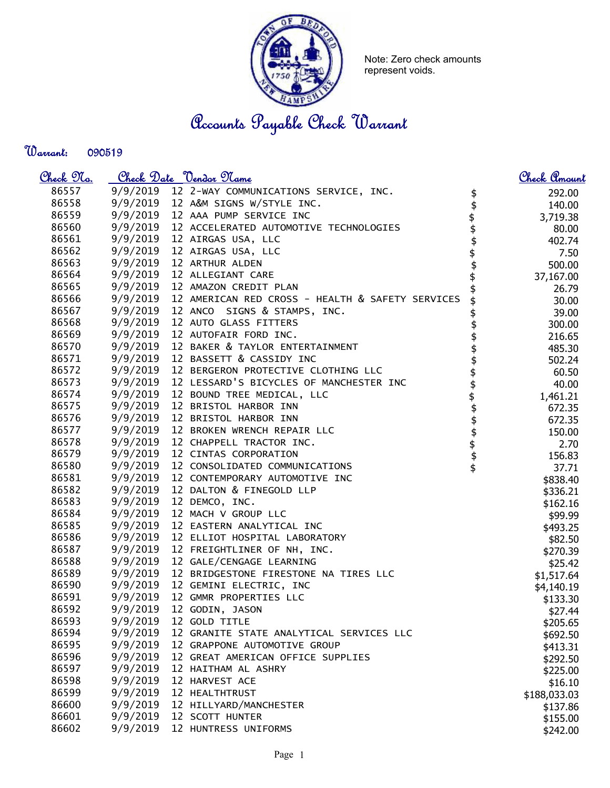

Note: Zero check amounts represent voids.

Accounts Payable Check Warrant

Warrant: 

| <u>Check 97a.</u> |          | <u>Check Date "Vendor Name</u>                            |                                | <u>Check Amount</u> |
|-------------------|----------|-----------------------------------------------------------|--------------------------------|---------------------|
| 86557             |          | 9/9/2019 12 2-WAY COMMUNICATIONS SERVICE, INC.            | \$                             | 292.00              |
| 86558             |          | 9/9/2019 12 A&M SIGNS W/STYLE INC.                        |                                | 140.00              |
| 86559             |          | 9/9/2019 12 AAA PUMP SERVICE INC                          |                                | 3,719.38            |
| 86560             |          | 9/9/2019 12 ACCELERATED AUTOMOTIVE TECHNOLOGIES           |                                | 80.00               |
| 86561             |          | 9/9/2019 12 AIRGAS USA, LLC                               |                                | 402.74              |
| 86562             |          | 9/9/2019 12 AIRGAS USA, LLC                               |                                | 7.50                |
| 86563             |          | 9/9/2019 12 ARTHUR ALDEN                                  |                                | 500.00              |
| 86564             |          | 9/9/2019 12 ALLEGIANT CARE                                | \$\$\$\$\$\$\$                 | 37,167.00           |
| 86565             |          | 9/9/2019 12 AMAZON CREDIT PLAN                            |                                | 26.79               |
| 86566             |          | 9/9/2019 12 AMERICAN RED CROSS - HEALTH & SAFETY SERVICES |                                | 30.00               |
| 86567             |          | 9/9/2019 12 ANCO SIGNS & STAMPS, INC.                     |                                | 39.00               |
| 86568             |          | 9/9/2019 12 AUTO GLASS FITTERS                            | \$                             | 300.00              |
| 86569             |          | 9/9/2019 12 AUTOFAIR FORD INC.                            |                                | 216.65              |
| 86570             |          | 9/9/2019 12 BAKER & TAYLOR ENTERTAINMENT                  |                                | 485.30              |
| 86571             |          | 9/9/2019 12 BASSETT & CASSIDY INC                         |                                | 502.24              |
| 86572             |          | 9/9/2019 12 BERGERON PROTECTIVE CLOTHING LLC              |                                | 60.50               |
| 86573             |          | 9/9/2019 12 LESSARD'S BICYCLES OF MANCHESTER INC          |                                | 40.00               |
| 86574             |          | 9/9/2019 12 BOUND TREE MEDICAL, LLC                       |                                | 1,461.21            |
| 86575             |          | 9/9/2019 12 BRISTOL HARBOR INN                            |                                | 672.35              |
| 86576             |          | 9/9/2019 12 BRISTOL HARBOR INN                            |                                | 672.35              |
| 86577             |          | 9/9/2019 12 BROKEN WRENCH REPAIR LLC                      |                                | 150.00              |
| 86578             |          | 9/9/2019 12 CHAPPELL TRACTOR INC.                         |                                | 2.70                |
| 86579             |          | 9/9/2019 12 CINTAS CORPORATION                            | <del>ቁ ቁ ቁ ቁ ቁ ቁ ቁ ቁ ቁ ቁ</del> | 156.83              |
| 86580             | 9/9/2019 | 12 CONSOLIDATED COMMUNICATIONS                            |                                | 37.71               |
| 86581             |          | 9/9/2019 12 CONTEMPORARY AUTOMOTIVE INC                   |                                | \$838.40            |
| 86582             |          | 9/9/2019 12 DALTON & FINEGOLD LLP                         |                                | \$336.21            |
| 86583             | 9/9/2019 | 12 DEMCO, INC.                                            |                                | \$162.16            |
| 86584             | 9/9/2019 | 12 MACH V GROUP LLC                                       |                                | \$99.99             |
| 86585             | 9/9/2019 | 12 EASTERN ANALYTICAL INC                                 |                                | \$493.25            |
| 86586             | 9/9/2019 | 12 ELLIOT HOSPITAL LABORATORY                             |                                | \$82.50             |
| 86587             | 9/9/2019 | 12 FREIGHTLINER OF NH, INC.                               |                                | \$270.39            |
| 86588             |          | 9/9/2019 12 GALE/CENGAGE LEARNING                         |                                | \$25.42             |
| 86589             | 9/9/2019 | 12 BRIDGESTONE FIRESTONE NA TIRES LLC                     |                                | \$1,517.64          |
| 86590             | 9/9/2019 | 12 GEMINI ELECTRIC, INC                                   |                                | \$4,140.19          |
| 86591             | 9/9/2019 | 12 GMMR PROPERTIES LLC                                    |                                | \$133.30            |
| 86592             | 9/9/2019 | 12 GODIN, JASON                                           |                                | \$27.44             |
| 86593             | 9/9/2019 | 12 GOLD TITLE                                             |                                | \$205.65            |
| 86594             | 9/9/2019 | 12 GRANITE STATE ANALYTICAL SERVICES LLC                  |                                | \$692.50            |
| 86595             | 9/9/2019 | 12 GRAPPONE AUTOMOTIVE GROUP                              |                                | \$413.31            |
| 86596             | 9/9/2019 | 12 GREAT AMERICAN OFFICE SUPPLIES                         |                                | \$292.50            |
| 86597             | 9/9/2019 | 12 HAITHAM AL ASHRY                                       |                                | \$225.00            |
| 86598             | 9/9/2019 | 12 HARVEST ACE                                            |                                | \$16.10             |
| 86599             | 9/9/2019 | 12 HEALTHTRUST                                            |                                | \$188,033.03        |
| 86600             | 9/9/2019 | 12 HILLYARD/MANCHESTER                                    |                                | \$137.86            |
| 86601             | 9/9/2019 | 12 SCOTT HUNTER                                           |                                | \$155.00            |
| 86602             | 9/9/2019 | 12 HUNTRESS UNIFORMS                                      |                                | \$242.00            |